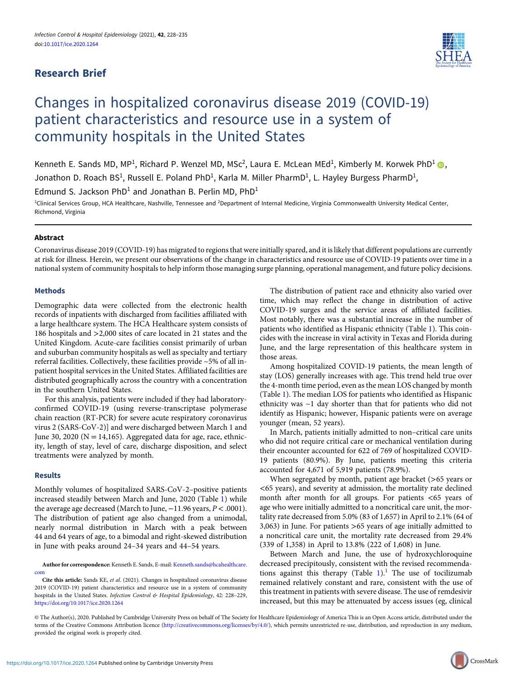# Research Brief



# Changes in hospitalized coronavirus disease 2019 (COVID-19) patient characteristics and resource use in a system of community hospitals in the United States

Kenneth E. Sands MD, MP<sup>1</sup>, Richard P. Wenzel MD, MSc<sup>2</sup>, Laura E. McLean MEd<sup>1</sup>, Kimberly M. Korwek PhD<sup>1</sup> (D, Jonathon D. Roach BS<sup>1</sup>, Russell E. Poland PhD<sup>1</sup>, Karla M. Miller PharmD<sup>1</sup>, L. Hayley Burgess PharmD<sup>1</sup>,

Edmund S. Jackson PhD<sup>1</sup> and Jonathan B. Perlin MD, PhD<sup>1</sup>

<sup>1</sup>Clinical Services Group, HCA Healthcare, Nashville, Tennessee and <sup>2</sup>Department of Internal Medicine, Virginia Commonwealth University Medical Center, Richmond, Virginia

## **Abstract**

Coronavirus disease 2019 (COVID-19) has migrated to regions that were initially spared, and it is likely that different populations are currently at risk for illness. Herein, we present our observations of the change in characteristics and resource use of COVID-19 patients over time in a national system of community hospitals to help inform those managing surge planning, operational management, and future policy decisions.

### Methods

Demographic data were collected from the electronic health records of inpatients with discharged from facilities affiliated with a large healthcare system. The HCA Healthcare system consists of 186 hospitals and >2,000 sites of care located in 21 states and the United Kingdom. Acute-care facilities consist primarily of urban and suburban community hospitals as well as specialty and tertiary referral facilities. Collectively, these facilities provide ~5% of all inpatient hospital services in the United States. Affiliated facilities are distributed geographically across the country with a concentration in the southern United States.

For this analysis, patients were included if they had laboratoryconfirmed COVID-19 (using reverse-transcriptase polymerase chain reaction (RT-PCR) for severe acute respiratory coronavirus virus 2 (SARS-CoV-2)] and were discharged between March 1 and June 30, 2020 ( $N = 14,165$ ). Aggregated data for age, race, ethnicity, length of stay, level of care, discharge disposition, and select treatments were analyzed by month.

#### Results

Monthly volumes of hospitalized SARS-CoV-2–positive patients increased steadily between March and June, 2020 (Table 1) while the average age decreased (March to June,  $-11.96$  years,  $P < .0001$ ). The distribution of patient age also changed from a unimodal, nearly normal distribution in March with a peak between 44 and 64 years of age, to a bimodal and right-skewed distribution in June with peaks around 24–34 years and 44–54 years.

Author for correspondence: Kenneth E. Sands, E-mail: [Kenneth.sands@hcahealthcare.](mailto:Kenneth.sands@hcahealthcare.com) [com](mailto:Kenneth.sands@hcahealthcare.com)

The distribution of patient race and ethnicity also varied over time, which may reflect the change in distribution of active COVID-19 surges and the service areas of affiliated facilities. Most notably, there was a substantial increase in the number of patients who identified as Hispanic ethnicity (Table 1). This coincides with the increase in viral activity in Texas and Florida during June, and the large representation of this healthcare system in those areas.

Among hospitalized COVID-19 patients, the mean length of stay (LOS) generally increases with age. This trend held true over the 4-month time period, even as the mean LOS changed by month (Table 1). The median LOS for patients who identified as Hispanic ethnicity was ~1 day shorter than that for patients who did not identify as Hispanic; however, Hispanic patients were on average younger (mean, 52 years).

In March, patients initially admitted to non–critical care units who did not require critical care or mechanical ventilation during their encounter accounted for 622 of 769 of hospitalized COVID-19 patients (80.9%). By June, patients meeting this criteria accounted for 4,671 of 5,919 patients (78.9%).

When segregated by month, patient age bracket (>65 years or <65 years), and severity at admission, the mortality rate declined month after month for all groups. For patients <65 years of age who were initially admitted to a noncritical care unit, the mortality rate decreased from 5.0% (83 of 1,657) in April to 2.1% (64 of 3,063) in June. For patients >65 years of age initially admitted to a noncritical care unit, the mortality rate decreased from 29.4% (339 of 1,358) in April to 13.8% (222 of 1,608) in June.

Between March and June, the use of hydroxychloroquine decreased precipitously, consistent with the revised recommendations against this therapy (Table  $1$ ).<sup>1</sup> The use of tocilizumab remained relatively constant and rare, consistent with the use of this treatment in patients with severe disease. The use of remdesivir increased, but this may be attenuated by access issues (eg, clinical

Cite this article: Sands KE, et al. (2021). Changes in hospitalized coronavirus disease 2019 (COVID-19) patient characteristics and resource use in a system of community hospitals in the United States. Infection Control & Hospital Epidemiology, 42: 228-229, <https://doi.org/10.1017/ice.2020.1264>

<sup>©</sup> The Author(s), 2020. Published by Cambridge University Press on behalf of The Society for Healthcare Epidemiology of America This is an Open Access article, distributed under the terms of the Creative Commons Attribution licence ([http://creativecommons.org/licenses/by/4.0/\)](http://creativecommons.org/licenses/by/4.0/), which permits unrestricted re-use, distribution, and reproduction in any medium, provided the original work is properly cited.